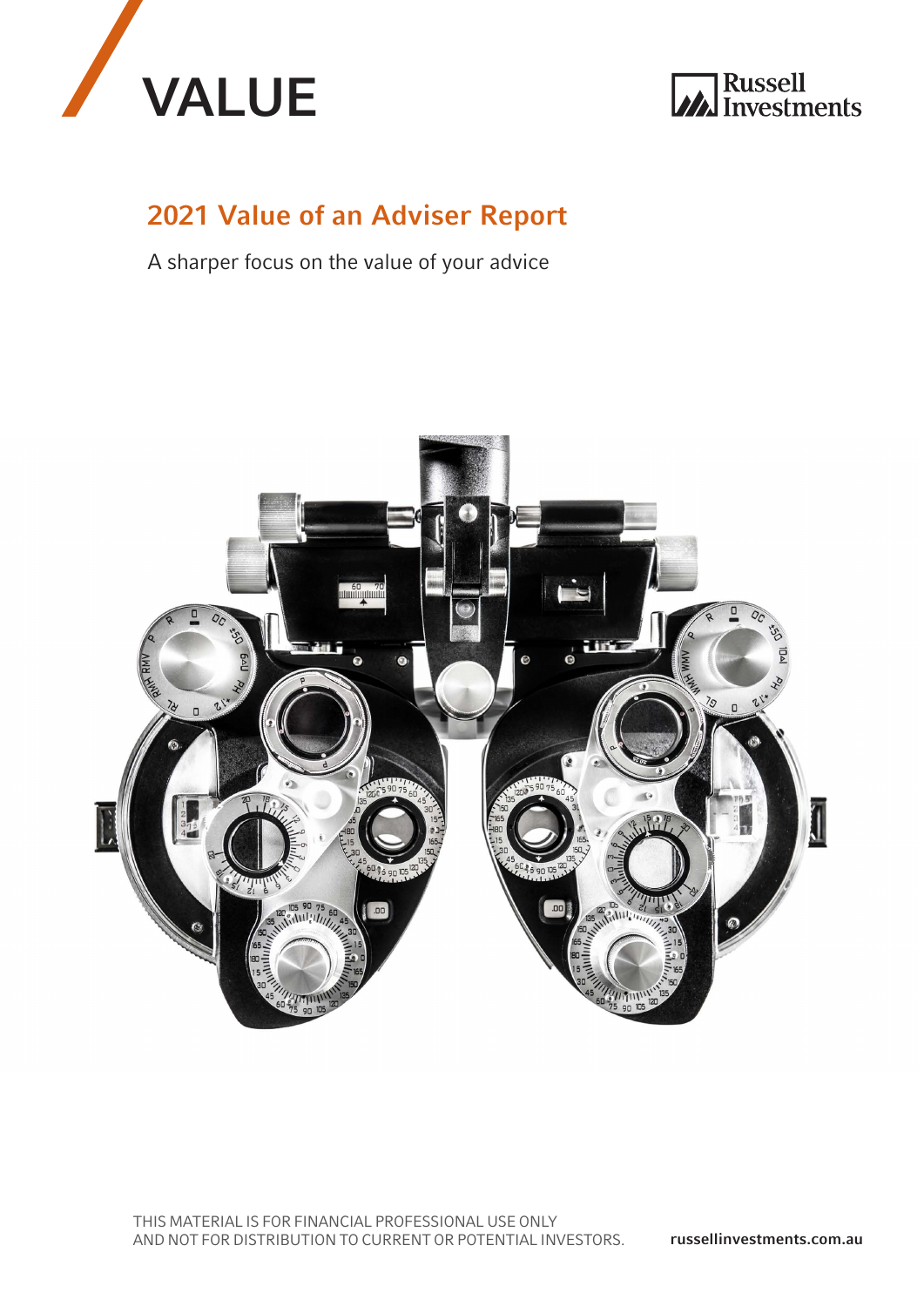



## 2021 Value of an Adviser Report

A sharper focus on the value of your advice

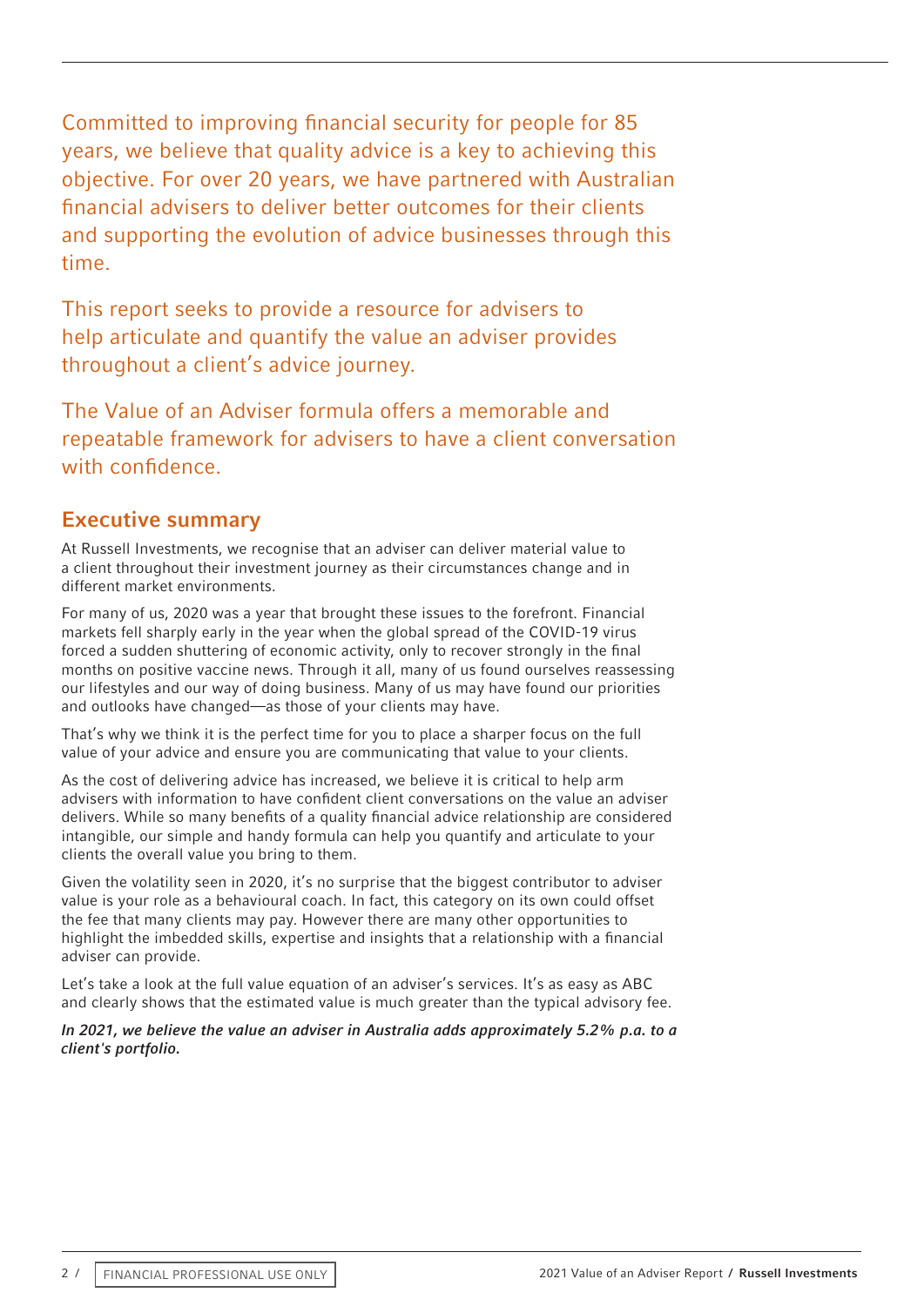Committed to improving financial security for people for 85 years, we believe that quality advice is a key to achieving this objective. For over 20 years, we have partnered with Australian financial advisers to deliver better outcomes for their clients and supporting the evolution of advice businesses through this time.

This report seeks to provide a resource for advisers to help articulate and quantify the value an adviser provides throughout a client's advice journey.

The Value of an Adviser formula offers a memorable and repeatable framework for advisers to have a client conversation with confidence.

## Executive summary

At Russell Investments, we recognise that an adviser can deliver material value to a client throughout their investment journey as their circumstances change and in different market environments.

For many of us, 2020 was a year that brought these issues to the forefront. Financial markets fell sharply early in the year when the global spread of the COVID-19 virus forced a sudden shuttering of economic activity, only to recover strongly in the final months on positive vaccine news. Through it all, many of us found ourselves reassessing our lifestyles and our way of doing business. Many of us may have found our priorities and outlooks have changed—as those of your clients may have.

That's why we think it is the perfect time for you to place a sharper focus on the full value of your advice and ensure you are communicating that value to your clients.

As the cost of delivering advice has increased, we believe it is critical to help arm advisers with information to have confident client conversations on the value an adviser delivers. While so many benefits of a quality financial advice relationship are considered intangible, our simple and handy formula can help you quantify and articulate to your clients the overall value you bring to them.

Given the volatility seen in 2020, it's no surprise that the biggest contributor to adviser value is your role as a behavioural coach. In fact, this category on its own could offset the fee that many clients may pay. However there are many other opportunities to highlight the imbedded skills, expertise and insights that a relationship with a financial adviser can provide.

Let's take a look at the full value equation of an adviser's services. It's as easy as ABC and clearly shows that the estimated value is much greater than the typical advisory fee.

#### *In 2021, we believe the value an adviser in Australia adds approximately 5.2% p.a. to a client's portfolio.*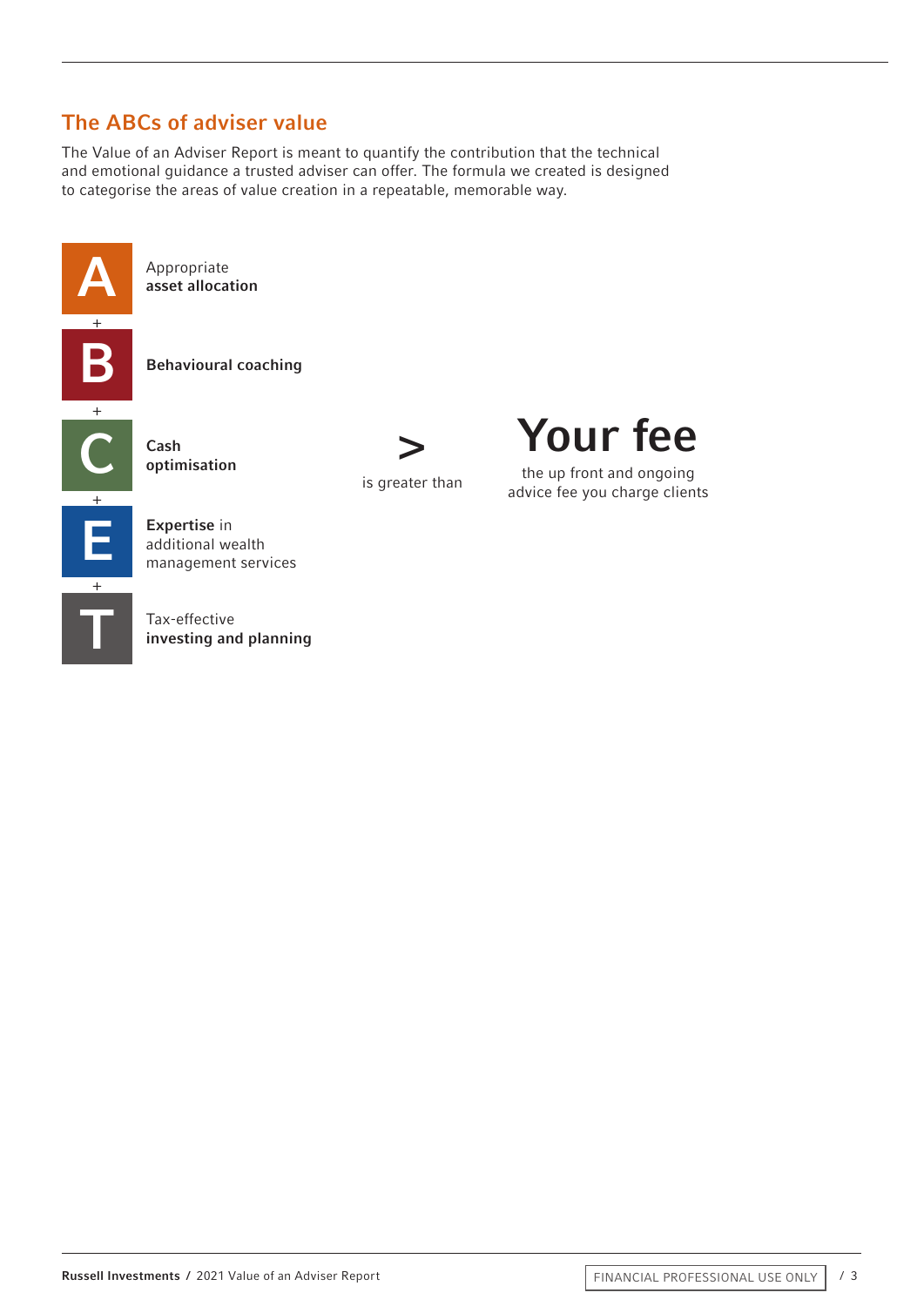## The ABCs of adviser value

The Value of an Adviser Report is meant to quantify the contribution that the technical and emotional guidance a trusted adviser can offer. The formula we created is designed to categorise the areas of value creation in a repeatable, memorable way.



B Behavioural coaching



Your fee

the up front and ongoing advice fee you charge clients

Expertise in<br>
additional wealth<br>
management services additional wealth

investing and planning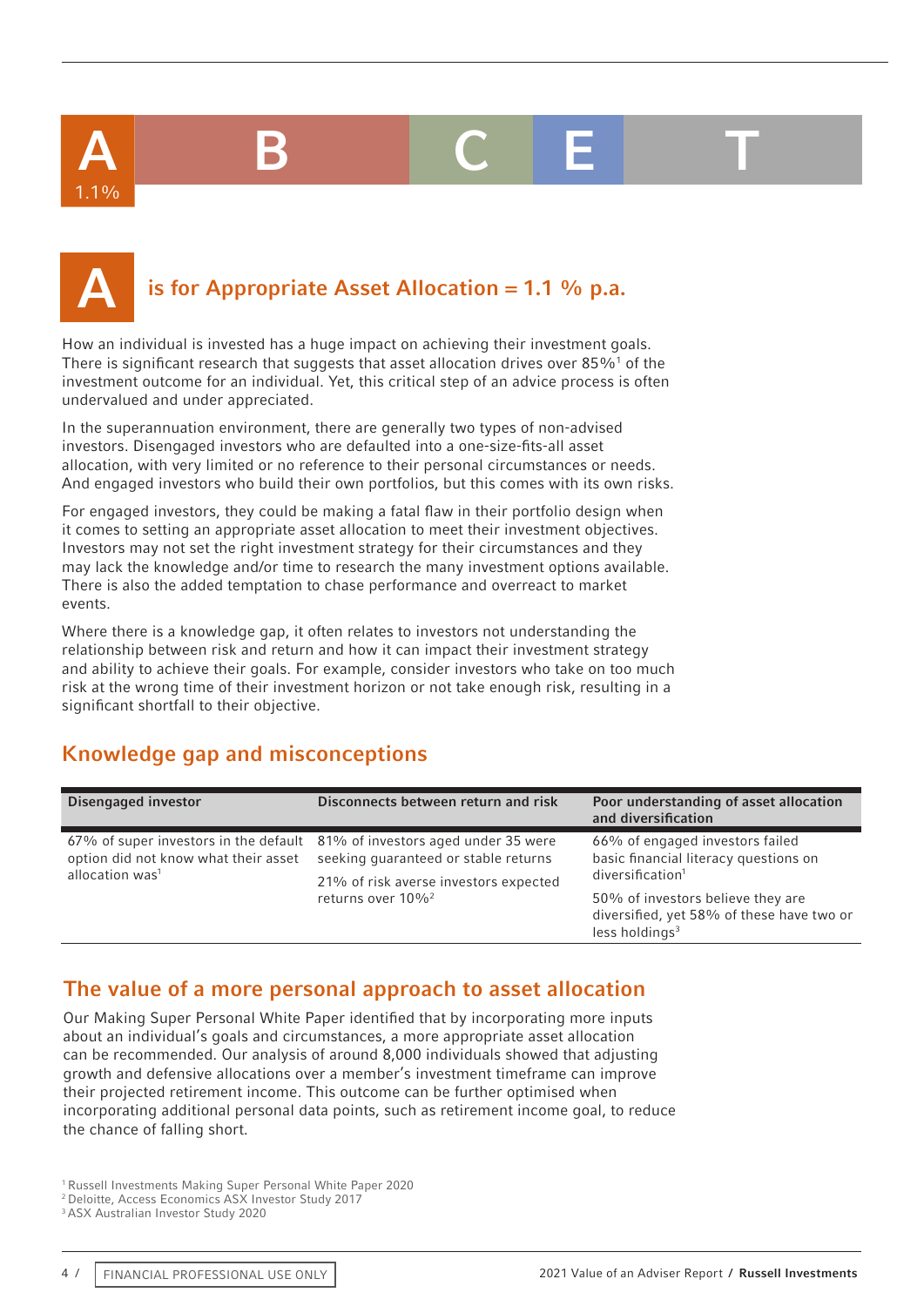A B C E T

# 1.1%

## is for Appropriate Asset Allocation =  $1.1$  % p.a.

How an individual is invested has a huge impact on achieving their investment goals. There is significant research that suggests that asset allocation drives over 85% $^1$  of the investment outcome for an individual. Yet, this critical step of an advice process is often undervalued and under appreciated.

In the superannuation environment, there are generally two types of non-advised investors. Disengaged investors who are defaulted into a one-size-fits-all asset allocation, with very limited or no reference to their personal circumstances or needs. And engaged investors who build their own portfolios, but this comes with its own risks.

For engaged investors, they could be making a fatal flaw in their portfolio design when it comes to setting an appropriate asset allocation to meet their investment objectives. Investors may not set the right investment strategy for their circumstances and they may lack the knowledge and/or time to research the many investment options available. There is also the added temptation to chase performance and overreact to market events.

Where there is a knowledge gap, it often relates to investors not understanding the relationship between risk and return and how it can impact their investment strategy and ability to achieve their goals. For example, consider investors who take on too much risk at the wrong time of their investment horizon or not take enough risk, resulting in a significant shortfall to their objective.

## Knowledge gap and misconceptions

| Disengaged investor                                                 | Disconnects between return and risk                                                                                                                        | Poor understanding of asset allocation<br>and diversification                                                |
|---------------------------------------------------------------------|------------------------------------------------------------------------------------------------------------------------------------------------------------|--------------------------------------------------------------------------------------------------------------|
| option did not know what their asset<br>allocation was <sup>1</sup> | 67% of super investors in the default 81% of investors aged under 35 were<br>seeking quaranteed or stable returns<br>21% of risk averse investors expected | 66% of engaged investors failed<br>basic financial literacy questions on<br>diversification <sup>1</sup>     |
|                                                                     | returns over 10% <sup>2</sup>                                                                                                                              | 50% of investors believe they are<br>diversified, yet 58% of these have two or<br>less holdings <sup>3</sup> |

## The value of a more personal approach to asset allocation

Our Making Super Personal White Paper identified that by incorporating more inputs about an individual's goals and circumstances, a more appropriate asset allocation can be recommended. Our analysis of around 8,000 individuals showed that adjusting growth and defensive allocations over a member's investment timeframe can improve their projected retirement income. This outcome can be further optimised when incorporating additional personal data points, such as retirement income goal, to reduce the chance of falling short.

1 Russell Investments Making Super Personal White Paper 2020

<sup>2</sup> Deloitte, Access Economics ASX Investor Study 2017

<sup>3</sup> ASX Australian Investor Study 2020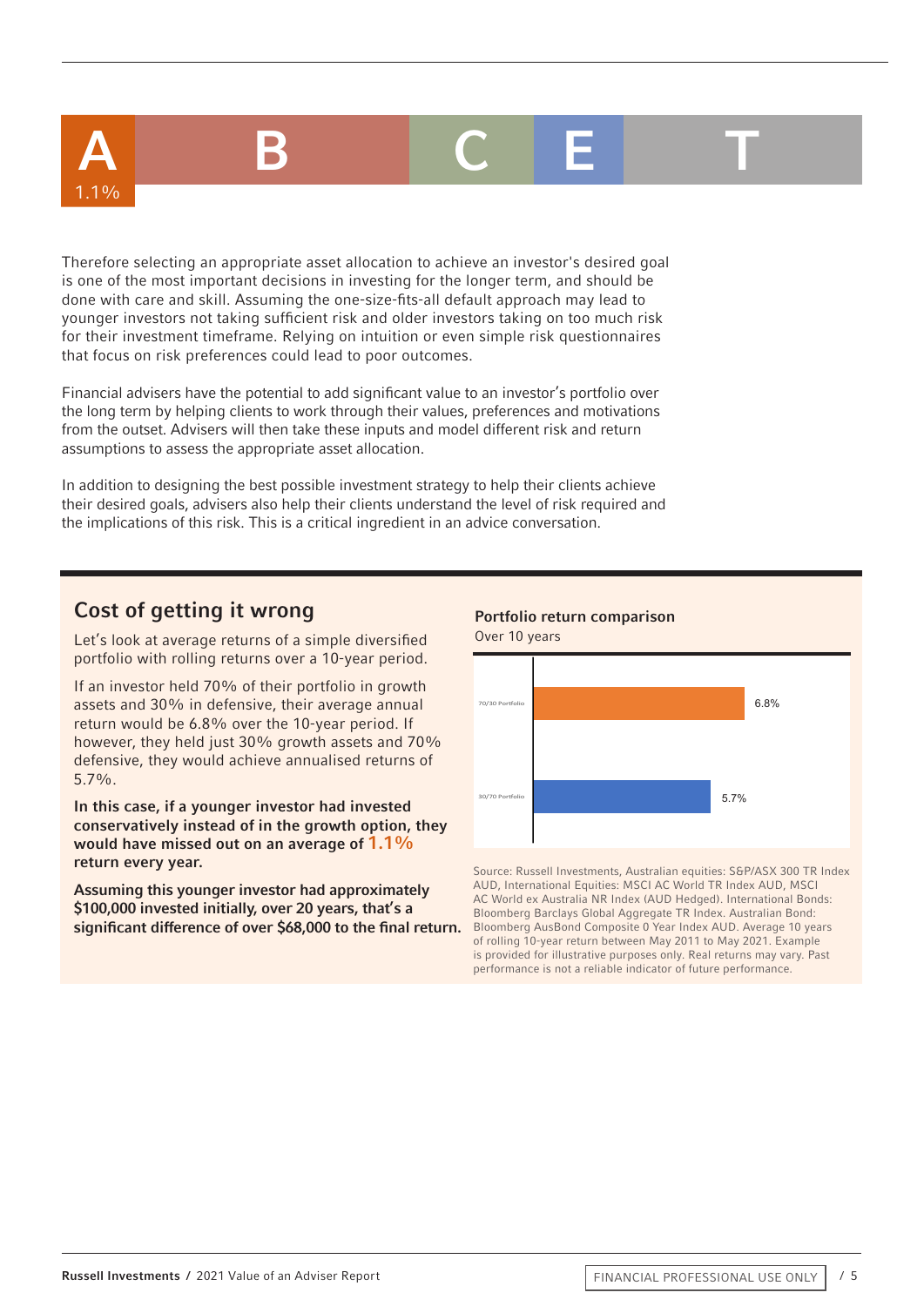# A B C E T

Therefore selecting an appropriate asset allocation to achieve an investor's desired goal is one of the most important decisions in investing for the longer term, and should be done with care and skill. Assuming the one-size-fits-all default approach may lead to younger investors not taking sufficient risk and older investors taking on too much risk for their investment timeframe. Relying on intuition or even simple risk questionnaires that focus on risk preferences could lead to poor outcomes.

Financial advisers have the potential to add significant value to an investor's portfolio over the long term by helping clients to work through their values, preferences and motivations from the outset. Advisers will then take these inputs and model different risk and return assumptions to assess the appropriate asset allocation.

In addition to designing the best possible investment strategy to help their clients achieve their desired goals, advisers also help their clients understand the level of risk required and the implications of this risk. This is a critical ingredient in an advice conversation.

## Cost of getting it wrong

1.1%

Let's look at average returns of a simple diversified portfolio with rolling returns over a 10-year period.

If an investor held 70% of their portfolio in growth assets and 30% in defensive, their average annual return would be 6.8% over the 10-year period. If however, they held just 30% growth assets and 70% defensive, they would achieve annualised returns of 5.7%.

In this case, if a younger investor had invested conservatively instead of in the growth option, they would have missed out on an average of  $1.1\%$ return every year.

Assuming this younger investor had approximately \$100,000 invested initially, over 20 years, that's a significant difference of over \$68,000 to the final return.



Source: Russell Investments, Australian equities: S&P/ASX 300 TR Index AUD, International Equities: MSCI AC World TR Index AUD, MSCI AC World ex Australia NR Index (AUD Hedged). International Bonds: Bloomberg Barclays Global Aggregate TR Index. Australian Bond: Bloomberg AusBond Composite 0 Year Index AUD. Average 10 years of rolling 10-year return between May 2011 to May 2021. Example is provided for illustrative purposes only. Real returns may vary. Past performance is not a reliable indicator of future performance.

#### Portfolio return comparison Over 10 years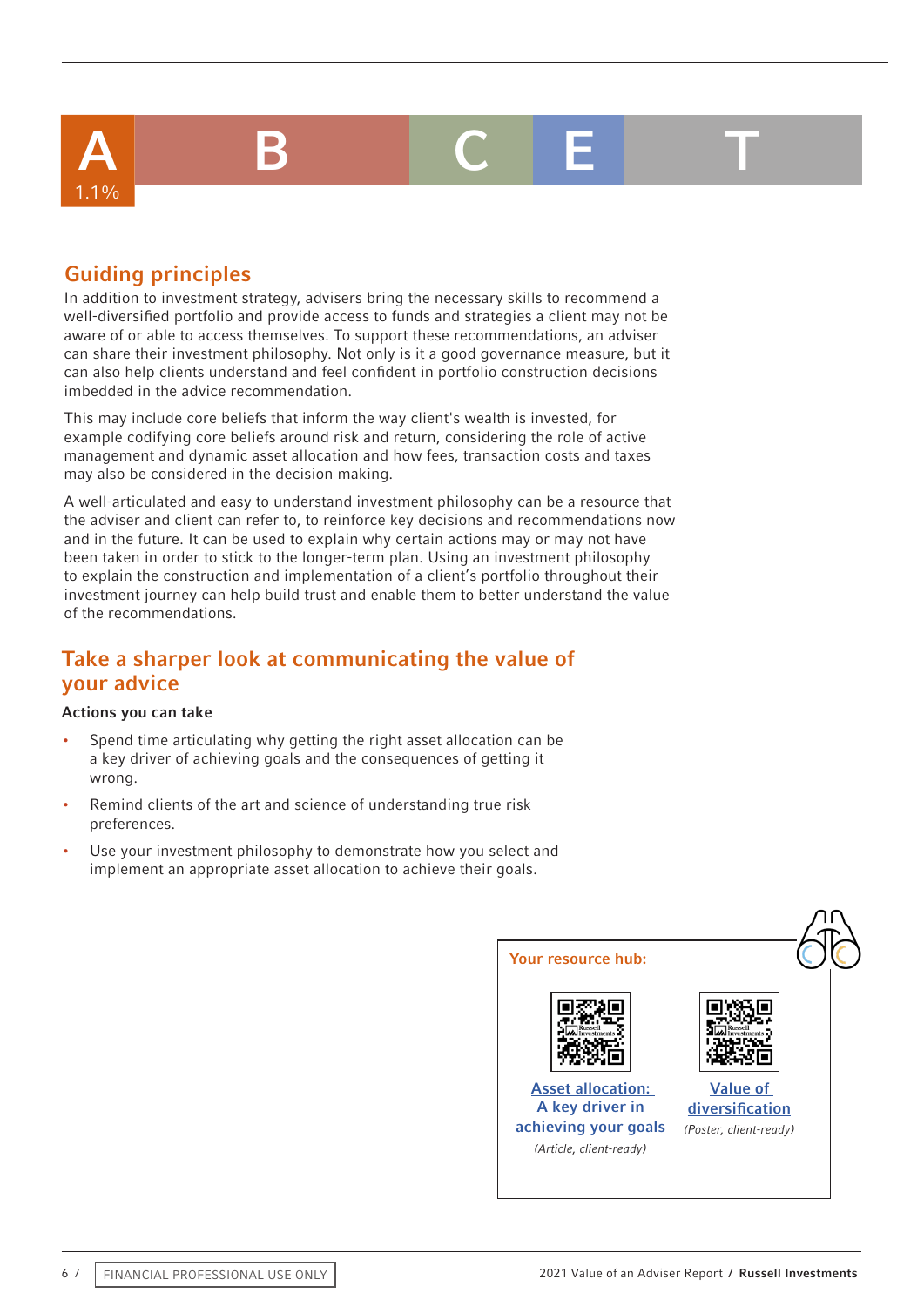## A B C E T 1.1%

## Guiding principles

In addition to investment strategy, advisers bring the necessary skills to recommend a well-diversified portfolio and provide access to funds and strategies a client may not be aware of or able to access themselves. To support these recommendations, an adviser can share their investment philosophy. Not only is it a good governance measure, but it can also help clients understand and feel confident in portfolio construction decisions imbedded in the advice recommendation.

This may include core beliefs that inform the way client's wealth is invested, for example codifying core beliefs around risk and return, considering the role of active management and dynamic asset allocation and how fees, transaction costs and taxes may also be considered in the decision making.

A well-articulated and easy to understand investment philosophy can be a resource that the adviser and client can refer to, to reinforce key decisions and recommendations now and in the future. It can be used to explain why certain actions may or may not have been taken in order to stick to the longer-term plan. Using an investment philosophy to explain the construction and implementation of a client's portfolio throughout their investment journey can help build trust and enable them to better understand the value of the recommendations.

## Take a sharper look at communicating the value of your advice

- Spend time articulating why getting the right asset allocation can be a key driver of achieving goals and the consequences of getting it wrong.
- Remind clients of the art and science of understanding true risk preferences.
- Use your investment philosophy to demonstrate how you select and implement an appropriate asset allocation to achieve their goals.

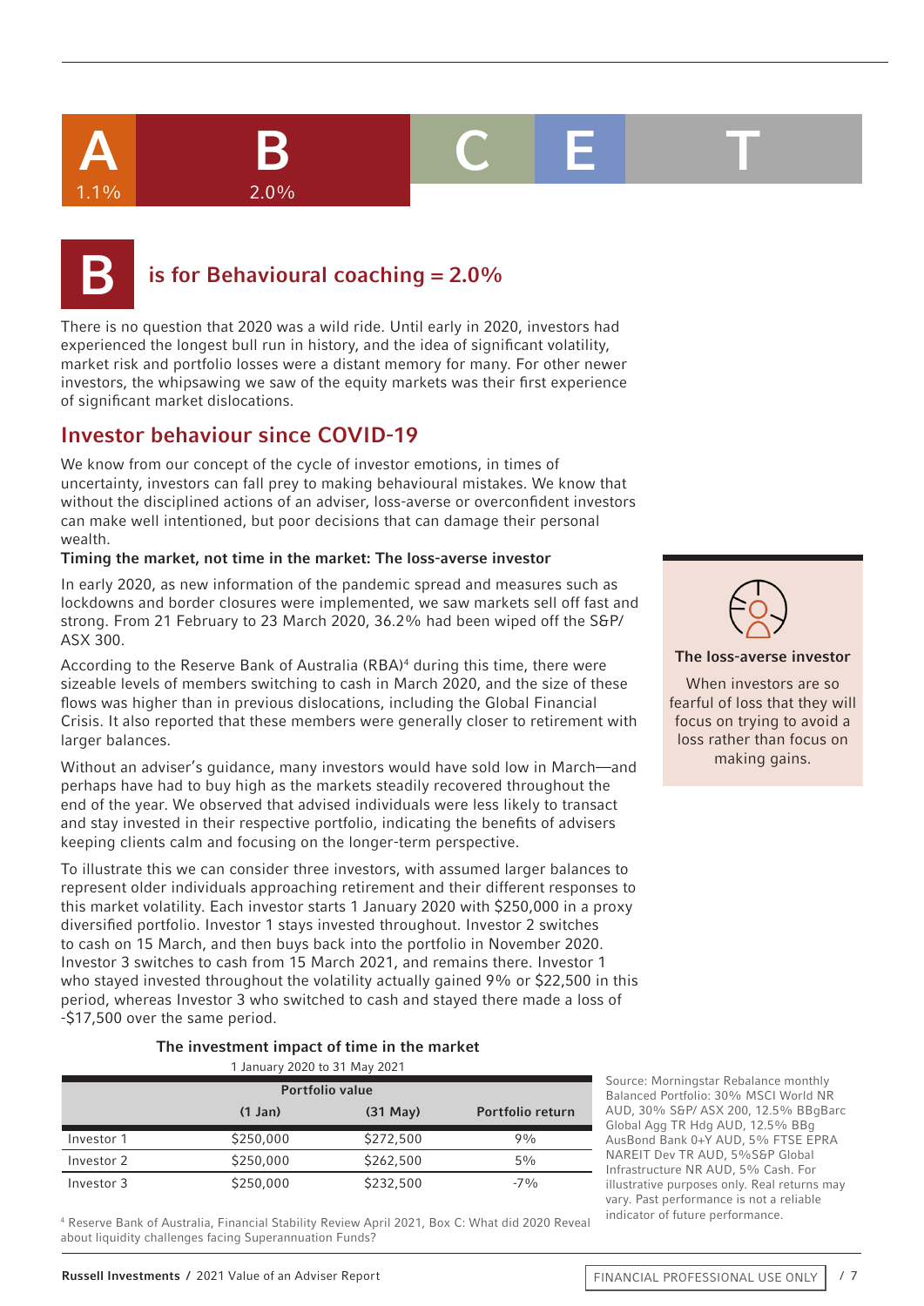$1.1\%$  2.0%

A B C E T

## is for Behavioural coaching  $= 2.0\%$

There is no question that 2020 was a wild ride. Until early in 2020, investors had experienced the longest bull run in history, and the idea of significant volatility, market risk and portfolio losses were a distant memory for many. For other newer investors, the whipsawing we saw of the equity markets was their first experience of significant market dislocations.

## Investor behaviour since COVID-19

We know from our concept of the cycle of investor emotions, in times of uncertainty, investors can fall prey to making behavioural mistakes. We know that without the disciplined actions of an adviser, loss-averse or overconfident investors can make well intentioned, but poor decisions that can damage their personal wealth.

#### Timing the market, not time in the market: The loss-averse investor

In early 2020, as new information of the pandemic spread and measures such as lockdowns and border closures were implemented, we saw markets sell off fast and strong. From 21 February to 23 March 2020, 36.2% had been wiped off the S&P/ ASX 300.

According to the Reserve Bank of Australia (RBA)<sup>4</sup> during this time, there were sizeable levels of members switching to cash in March 2020, and the size of these flows was higher than in previous dislocations, including the Global Financial Crisis. It also reported that these members were generally closer to retirement with larger balances.

Without an adviser's guidance, many investors would have sold low in March—and perhaps have had to buy high as the markets steadily recovered throughout the end of the year. We observed that advised individuals were less likely to transact and stay invested in their respective portfolio, indicating the benefits of advisers keeping clients calm and focusing on the longer-term perspective.

To illustrate this we can consider three investors, with assumed larger balances to represent older individuals approaching retirement and their different responses to this market volatility. Each investor starts 1 January 2020 with \$250,000 in a proxy diversified portfolio. Investor 1 stays invested throughout. Investor 2 switches to cash on 15 March, and then buys back into the portfolio in November 2020. Investor 3 switches to cash from 15 March 2021, and remains there. Investor 1 who stayed invested throughout the volatility actually gained 9% or \$22,500 in this period, whereas Investor 3 who switched to cash and stayed there made a loss of -\$17,500 over the same period.

#### The investment impact of time in the market 1 January 2020 to 31 May 2021

| T Jahuary 2020 to 31 May 2021 |              |               |                         |
|-------------------------------|--------------|---------------|-------------------------|
| <b>Portfolio value</b>        |              |               |                         |
|                               | $(1$ Jan $)$ | $(31$ May $)$ | <b>Portfolio return</b> |
| Investor 1                    | \$250,000    | \$272,500     | 9%                      |
| Investor 2                    | \$250,000    | \$262,500     | $5\%$                   |
| Investor 3                    | \$250,000    | \$232,500     | $-7\%$                  |

4 Reserve Bank of Australia, Financial Stability Review April 2021, Box C: What did 2020 Reveal about liquidity challenges facing Superannuation Funds?

Source: Morningstar Rebalance monthly Balanced Portfolio: 30% MSCI World NR AUD, 30% S&P/ ASX 200, 12.5% BBgBarc Global Agg TR Hdg AUD, 12.5% BBg AusBond Bank 0+Y AUD, 5% FTSE EPRA NAREIT Dev TR AUD, 5%S&P Global Infrastructure NR AUD, 5% Cash. For illustrative purposes only. Real returns may vary. Past performance is not a reliable indicator of future performance.



The loss-averse investor

When investors are so fearful of loss that they will focus on trying to avoid a loss rather than focus on making gains.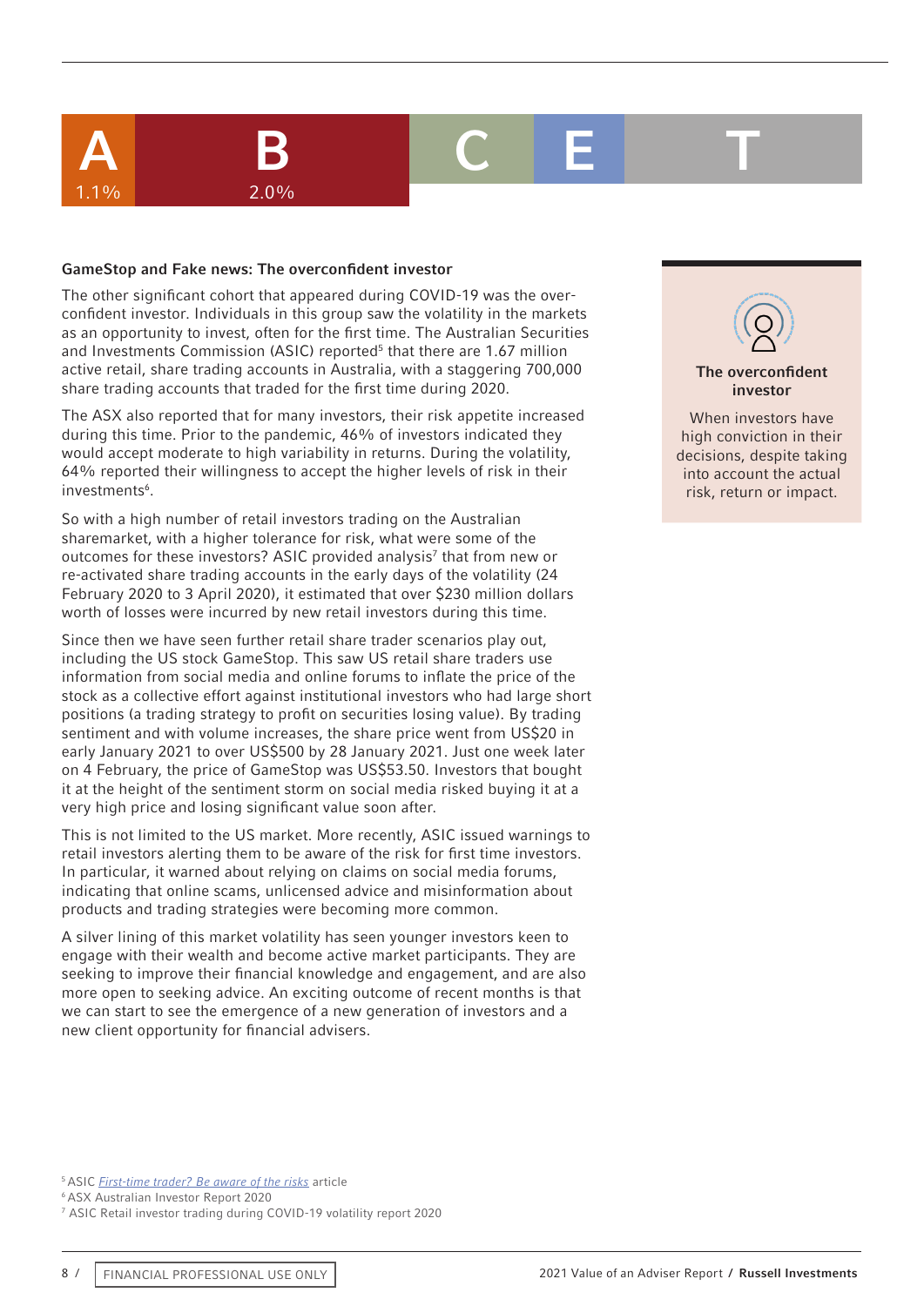# A B C E T

#### GameStop and Fake news: The overconfident investor

 $1.1\%$  2.0%

The other significant cohort that appeared during COVID-19 was the overconfident investor. Individuals in this group saw the volatility in the markets as an opportunity to invest, often for the first time. The Australian Securities and Investments Commission (ASIC) reported<sup>5</sup> that there are 1.67 million active retail, share trading accounts in Australia, with a staggering 700,000 share trading accounts that traded for the first time during 2020.

The ASX also reported that for many investors, their risk appetite increased during this time. Prior to the pandemic, 46% of investors indicated they would accept moderate to high variability in returns. During the volatility, 64% reported their willingness to accept the higher levels of risk in their investments<sup>6</sup>.

So with a high number of retail investors trading on the Australian sharemarket, with a higher tolerance for risk, what were some of the outcomes for these investors? ASIC provided analysis<sup>7</sup> that from new or re-activated share trading accounts in the early days of the volatility (24 February 2020 to 3 April 2020), it estimated that over \$230 million dollars worth of losses were incurred by new retail investors during this time.

Since then we have seen further retail share trader scenarios play out, including the US stock GameStop. This saw US retail share traders use information from social media and online forums to inflate the price of the stock as a collective effort against institutional investors who had large short positions (a trading strategy to profit on securities losing value). By trading sentiment and with volume increases, the share price went from US\$20 in early January 2021 to over US\$500 by 28 January 2021. Just one week later on 4 February, the price of GameStop was US\$53.50. Investors that bought it at the height of the sentiment storm on social media risked buying it at a very high price and losing significant value soon after.

This is not limited to the US market. More recently, ASIC issued warnings to retail investors alerting them to be aware of the risk for first time investors. In particular, it warned about relying on claims on social media forums, indicating that online scams, unlicensed advice and misinformation about products and trading strategies were becoming more common.

A silver lining of this market volatility has seen younger investors keen to engage with their wealth and become active market participants. They are seeking to improve their financial knowledge and engagement, and are also more open to seeking advice. An exciting outcome of recent months is that we can start to see the emergence of a new generation of investors and a new client opportunity for financial advisers.



investor When investors have

high conviction in their decisions, despite taking into account the actual risk, return or impact.

5 ASIC *[First-time trader? Be aware of the risks](https://asic.gov.au/about-asic/news-centre/news-items/first-time-trader-be-aware-of-the-risk)* article

6 ASX Australian Investor Report 2020

7 ASIC Retail investor trading during COVID-19 volatility report 2020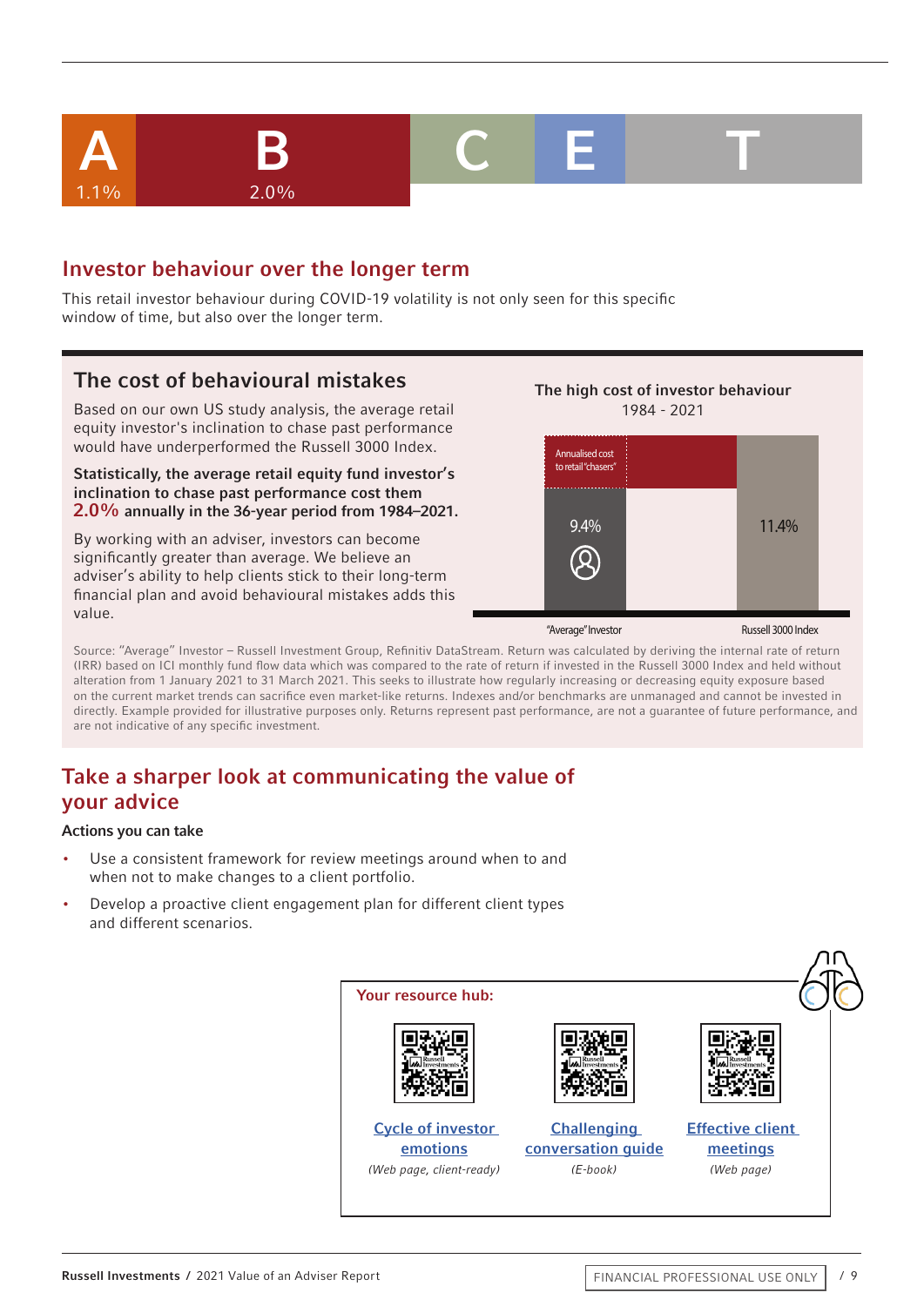

## Investor behaviour over the longer term

This retail investor behaviour during COVID-19 volatility is not only seen for this specific window of time, but also over the longer term.

### The cost of behavioural mistakes

Based on our own US study analysis, the average retail equity investor's inclination to chase past performance would have underperformed the Russell 3000 Index.

Statistically, the average retail equity fund investor's inclination to chase past performance cost them 2.0% annually in the 36-year period from 1984–2021.

By working with an adviser, investors can become significantly greater than average. We believe an adviser's ability to help clients stick to their long-term financial plan and avoid behavioural mistakes adds this value.



Source: "Average" Investor – Russell Investment Group, Refinitiv DataStream. Return was calculated by deriving the internal rate of return (IRR) based on ICI monthly fund flow data which was compared to the rate of return if invested in the Russell 3000 Index and held without alteration from 1 January 2021 to 31 March 2021. This seeks to illustrate how regularly increasing or decreasing equity exposure based on the current market trends can sacrifice even market-like returns. Indexes and/or benchmarks are unmanaged and cannot be invested in directly. Example provided for illustrative purposes only. Returns represent past performance, are not a guarantee of future performance, and are not indicative of any specific investment.

## Take a sharper look at communicating the value of your advice

- Use a consistent framework for review meetings around when to and when not to make changes to a client portfolio.
- Develop a proactive client engagement plan for different client types and different scenarios.

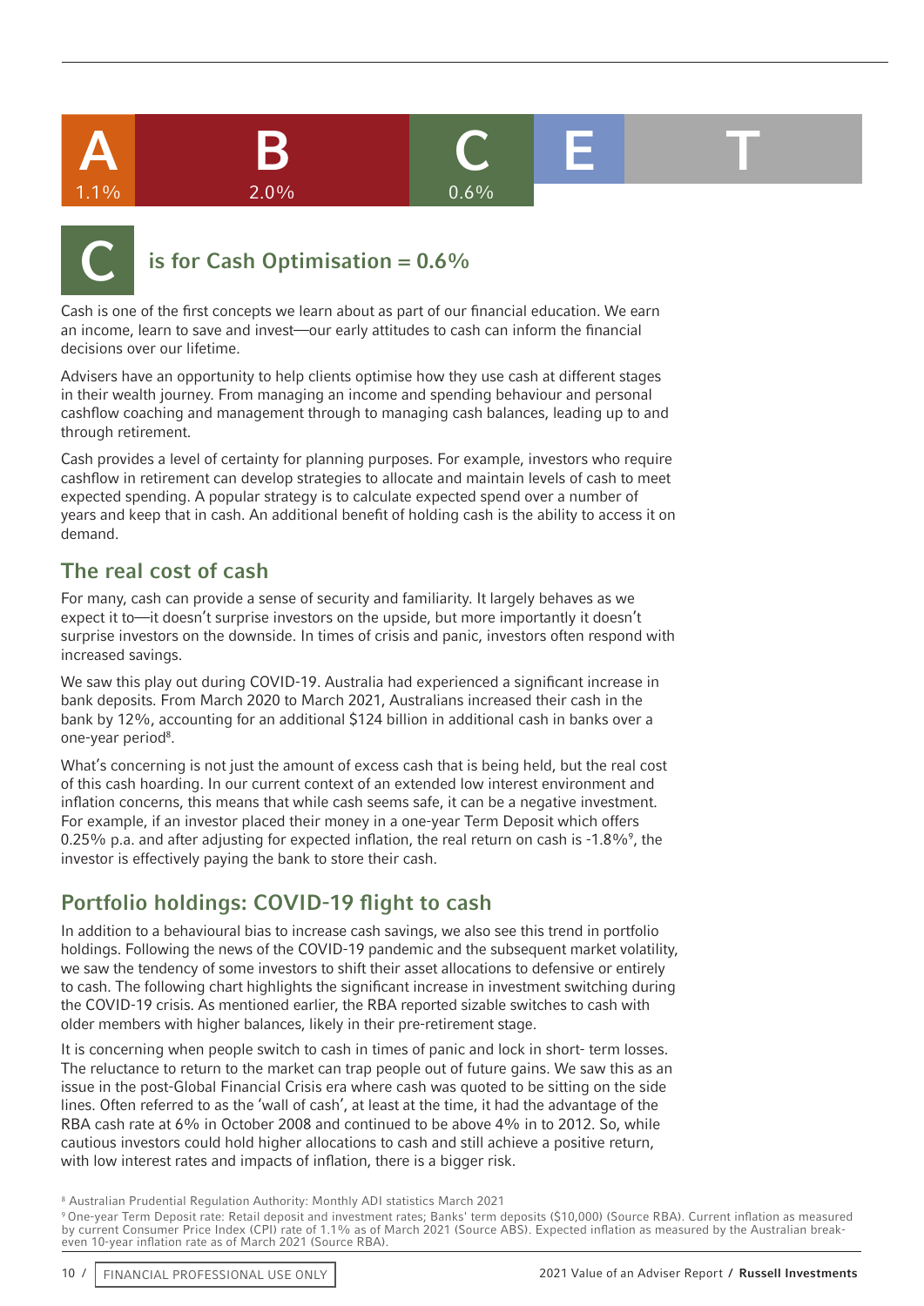







## is for Cash Optimisation =  $0.6\%$

Cash is one of the first concepts we learn about as part of our financial education. We earn an income, learn to save and invest—our early attitudes to cash can inform the financial decisions over our lifetime.

Advisers have an opportunity to help clients optimise how they use cash at different stages in their wealth journey. From managing an income and spending behaviour and personal cashflow coaching and management through to managing cash balances, leading up to and through retirement.

Cash provides a level of certainty for planning purposes. For example, investors who require cashflow in retirement can develop strategies to allocate and maintain levels of cash to meet expected spending. A popular strategy is to calculate expected spend over a number of years and keep that in cash. An additional benefit of holding cash is the ability to access it on demand.

## The real cost of cash

For many, cash can provide a sense of security and familiarity. It largely behaves as we expect it to—it doesn't surprise investors on the upside, but more importantly it doesn't surprise investors on the downside. In times of crisis and panic, investors often respond with increased savings.

We saw this play out during COVID-19. Australia had experienced a significant increase in bank deposits. From March 2020 to March 2021, Australians increased their cash in the bank by 12%, accounting for an additional \$124 billion in additional cash in banks over a one-year period<sup>8</sup>.

What's concerning is not just the amount of excess cash that is being held, but the real cost of this cash hoarding. In our current context of an extended low interest environment and inflation concerns, this means that while cash seems safe, it can be a negative investment. For example, if an investor placed their money in a one-year Term Deposit which offers 0.25% p.a. and after adjusting for expected inflation, the real return on cash is -1.8%, the investor is effectively paying the bank to store their cash.

## Portfolio holdings: COVID-19 flight to cash

In addition to a behavioural bias to increase cash savings, we also see this trend in portfolio holdings. Following the news of the COVID-19 pandemic and the subsequent market volatility, we saw the tendency of some investors to shift their asset allocations to defensive or entirely to cash. The following chart highlights the significant increase in investment switching during the COVID-19 crisis. As mentioned earlier, the RBA reported sizable switches to cash with older members with higher balances, likely in their pre-retirement stage.

It is concerning when people switch to cash in times of panic and lock in short- term losses. The reluctance to return to the market can trap people out of future gains. We saw this as an issue in the post-Global Financial Crisis era where cash was quoted to be sitting on the side lines. Often referred to as the 'wall of cash', at least at the time, it had the advantage of the RBA cash rate at 6% in October 2008 and continued to be above 4% in to 2012. So, while cautious investors could hold higher allocations to cash and still achieve a positive return, with low interest rates and impacts of inflation, there is a bigger risk.

8 Australian Prudential Regulation Authority: Monthly ADI statistics March 2021

9 One-year Term Deposit rate: Retail deposit and investment rates; Banks' term deposits (\$10,000) (Source RBA). Current inflation as measured by current Consumer Price Index (CPI) rate of 1.1% as of March 2021 (Source ABS). Expected inflation as measured by the Australian breakeven 10-year inflation rate as of March 2021 (Source RBA).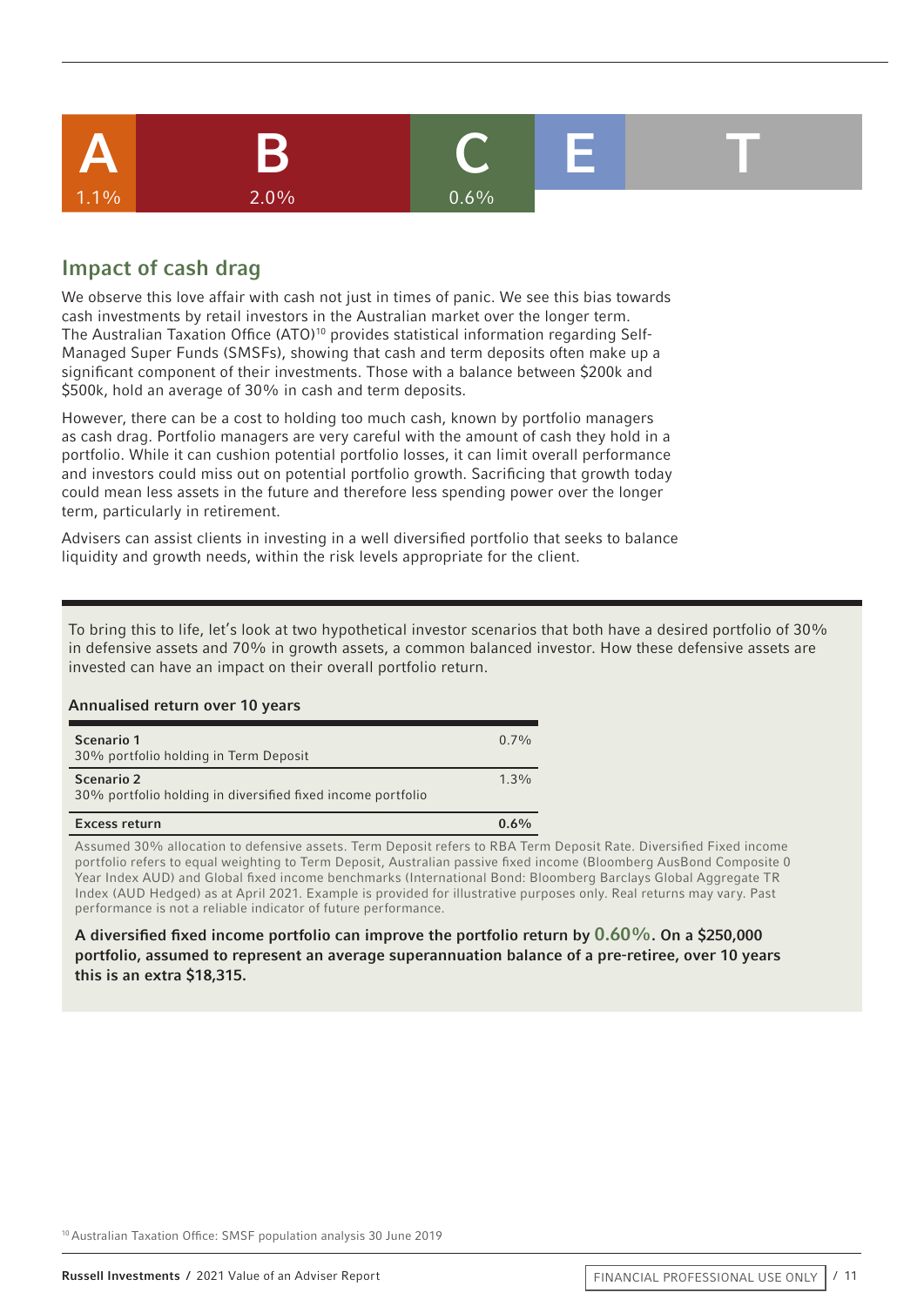

## Impact of cash drag

We observe this love affair with cash not just in times of panic. We see this bias towards cash investments by retail investors in the Australian market over the longer term. The Australian Taxation Office (ATO)<sup>10</sup> provides statistical information regarding Self-Managed Super Funds (SMSFs), showing that cash and term deposits often make up a significant component of their investments. Those with a balance between \$200k and \$500k, hold an average of 30% in cash and term deposits.

However, there can be a cost to holding too much cash, known by portfolio managers as cash drag. Portfolio managers are very careful with the amount of cash they hold in a portfolio. While it can cushion potential portfolio losses, it can limit overall performance and investors could miss out on potential portfolio growth. Sacrificing that growth today could mean less assets in the future and therefore less spending power over the longer term, particularly in retirement.

Advisers can assist clients in investing in a well diversified portfolio that seeks to balance liquidity and growth needs, within the risk levels appropriate for the client.

To bring this to life, let's look at two hypothetical investor scenarios that both have a desired portfolio of 30% in defensive assets and 70% in growth assets, a common balanced investor. How these defensive assets are invested can have an impact on their overall portfolio return.

#### Annualised return over 10 years

| Scenario 2<br>30% portfolio holding in diversified fixed income portfolio | $1.3\%$ |
|---------------------------------------------------------------------------|---------|
| Scenario 1<br>30% portfolio holding in Term Deposit                       | $0.7\%$ |

Assumed 30% allocation to defensive assets. Term Deposit refers to RBA Term Deposit Rate. Diversified Fixed income portfolio refers to equal weighting to Term Deposit, Australian passive fixed income (Bloomberg AusBond Composite 0 Year Index AUD) and Global fixed income benchmarks (International Bond: Bloomberg Barclays Global Aggregate TR Index (AUD Hedged) as at April 2021. Example is provided for illustrative purposes only. Real returns may vary. Past performance is not a reliable indicator of future performance.

#### A diversified fixed income portfolio can improve the portfolio return by 0.60%. On a \$250,000 portfolio, assumed to represent an average superannuation balance of a pre-retiree, over 10 years this is an extra \$18,315.

10 Australian Taxation Office: SMSF population analysis 30 June 2019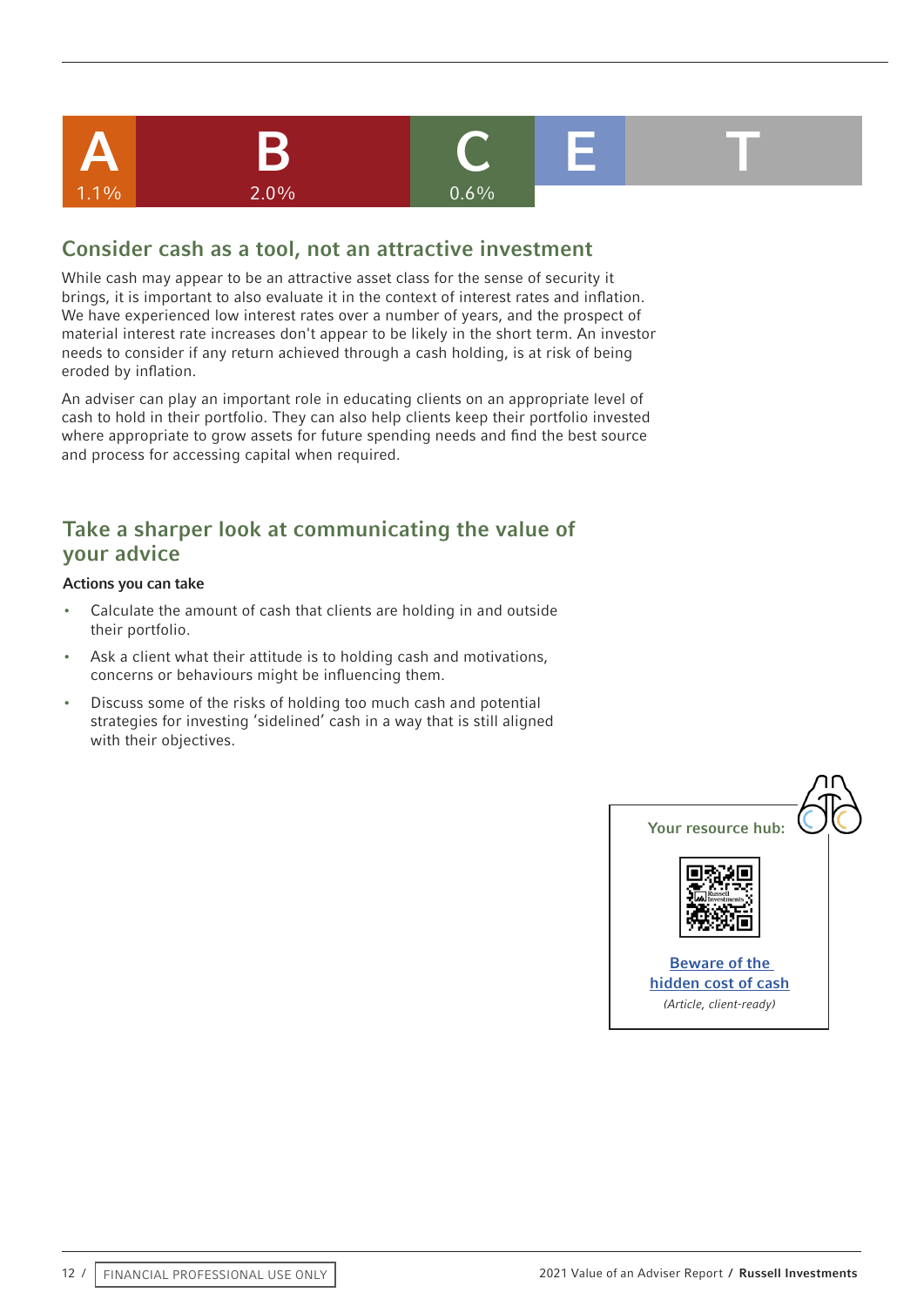

### Consider cash as a tool, not an attractive investment

While cash may appear to be an attractive asset class for the sense of security it brings, it is important to also evaluate it in the context of interest rates and inflation. We have experienced low interest rates over a number of years, and the prospect of material interest rate increases don't appear to be likely in the short term. An investor needs to consider if any return achieved through a cash holding, is at risk of being eroded by inflation.

An adviser can play an important role in educating clients on an appropriate level of cash to hold in their portfolio. They can also help clients keep their portfolio invested where appropriate to grow assets for future spending needs and find the best source and process for accessing capital when required.

## Take a sharper look at communicating the value of your advice

- Calculate the amount of cash that clients are holding in and outside their portfolio.
- Ask a client what their attitude is to holding cash and motivations, concerns or behaviours might be influencing them.
- Discuss some of the risks of holding too much cash and potential strategies for investing 'sidelined' cash in a way that is still aligned with their objectives.

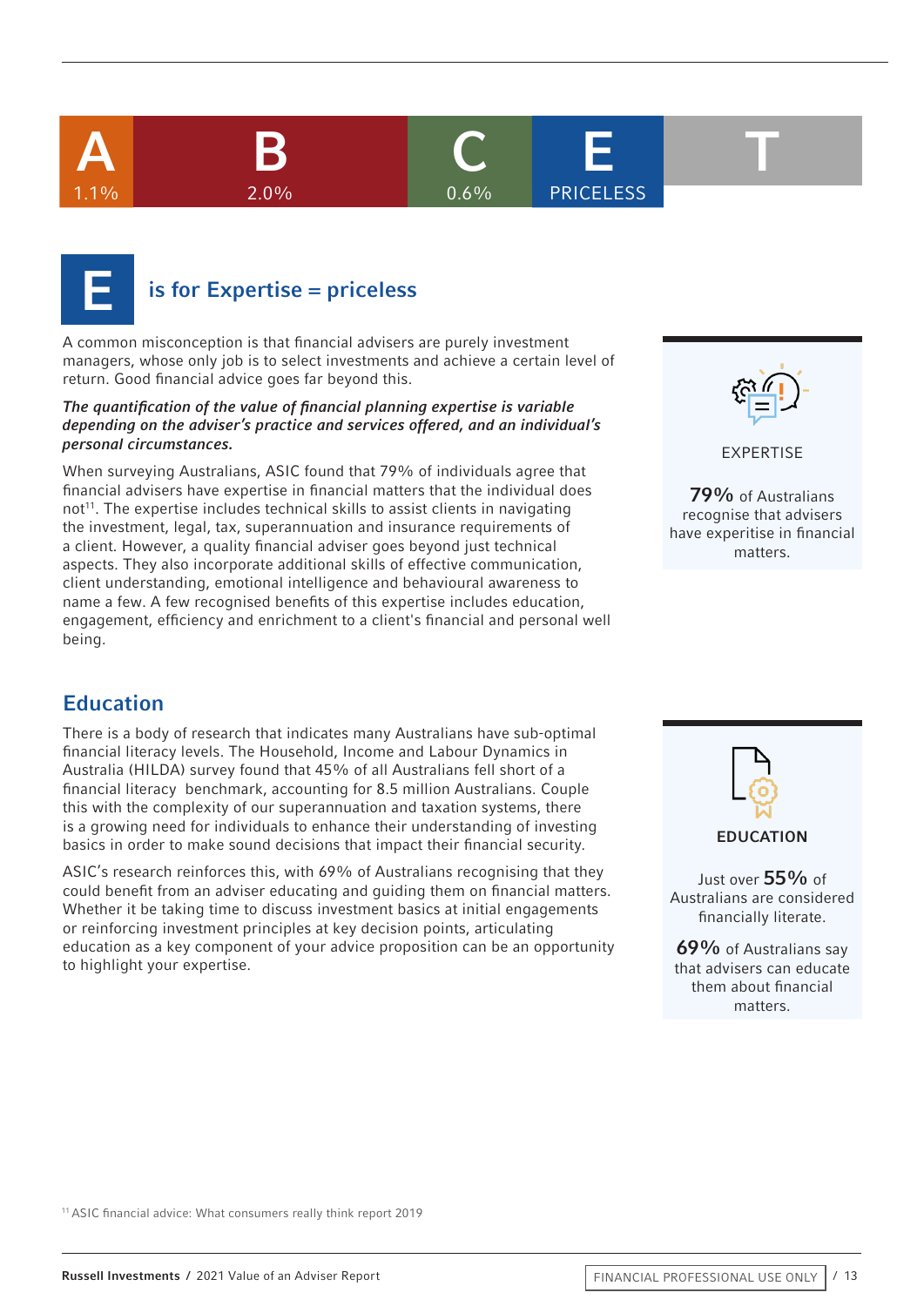





## $is$  for Expertise = priceless

A common misconception is that financial advisers are purely investment managers, whose only job is to select investments and achieve a certain level of return. Good financial advice goes far beyond this.

#### *The quantification of the value of financial planning expertise is variable depending on the adviser's practice and services offered, and an individual's personal circumstances.*

When surveying Australians, ASIC found that 79% of individuals agree that financial advisers have expertise in financial matters that the individual does  $not<sup>11</sup>$ . The expertise includes technical skills to assist clients in navigating the investment, legal, tax, superannuation and insurance requirements of a client. However, a quality financial adviser goes beyond just technical aspects. They also incorporate additional skills of effective communication, client understanding, emotional intelligence and behavioural awareness to name a few. A few recognised benefits of this expertise includes education, engagement, efficiency and enrichment to a client's financial and personal well being.



EXPERTISE

79% of Australians recognise that advisers have experitise in financial matters.

## Education

There is a body of research that indicates many Australians have sub-optimal financial literacy levels. The Household, Income and Labour Dynamics in Australia (HILDA) survey found that 45% of all Australians fell short of a financial literacy benchmark, accounting for 8.5 million Australians. Couple this with the complexity of our superannuation and taxation systems, there is a growing need for individuals to enhance their understanding of investing basics in order to make sound decisions that impact their financial security.

ASIC's research reinforces this, with 69% of Australians recognising that they could benefit from an adviser educating and guiding them on financial matters. Whether it be taking time to discuss investment basics at initial engagements or reinforcing investment principles at key decision points, articulating education as a key component of your advice proposition can be an opportunity to highlight your expertise.



Just over 55% of Australians are considered financially literate.

69% of Australians say that advisers can educate them about financial matters.

11 ASIC financial advice: What consumers really think report 2019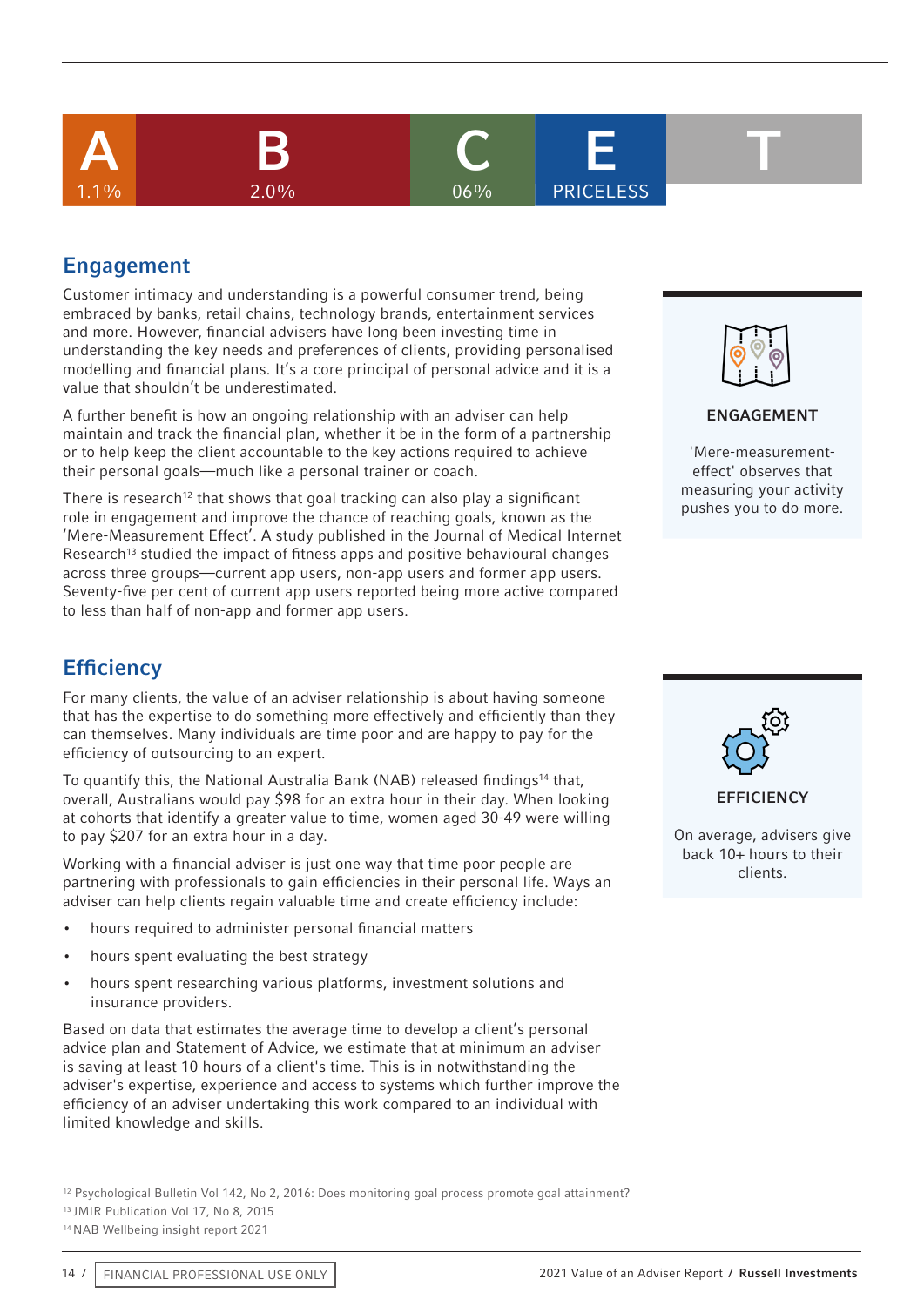







**PRICELESS** 



## Engagement

Customer intimacy and understanding is a powerful consumer trend, being embraced by banks, retail chains, technology brands, entertainment services and more. However, financial advisers have long been investing time in understanding the key needs and preferences of clients, providing personalised modelling and financial plans. It's a core principal of personal advice and it is a value that shouldn't be underestimated.

A further benefit is how an ongoing relationship with an adviser can help maintain and track the financial plan, whether it be in the form of a partnership or to help keep the client accountable to the key actions required to achieve their personal goals—much like a personal trainer or coach.

There is research<sup>12</sup> that shows that goal tracking can also play a significant role in engagement and improve the chance of reaching goals, known as the 'Mere-Measurement Effect'. A study published in the Journal of Medical Internet Research<sup>13</sup> studied the impact of fitness apps and positive behavioural changes across three groups—current app users, non-app users and former app users. Seventy-five per cent of current app users reported being more active compared to less than half of non-app and former app users.

## **Efficiency**

For many clients, the value of an adviser relationship is about having someone that has the expertise to do something more effectively and efficiently than they can themselves. Many individuals are time poor and are happy to pay for the efficiency of outsourcing to an expert.

To quantify this, the National Australia Bank (NAB) released findings<sup>14</sup> that, overall, Australians would pay \$98 for an extra hour in their day. When looking at cohorts that identify a greater value to time, women aged 30-49 were willing to pay \$207 for an extra hour in a day.

Working with a financial adviser is just one way that time poor people are partnering with professionals to gain efficiencies in their personal life. Ways an adviser can help clients regain valuable time and create efficiency include:

- hours required to administer personal financial matters
- hours spent evaluating the best strategy
- hours spent researching various platforms, investment solutions and insurance providers.

Based on data that estimates the average time to develop a client's personal advice plan and Statement of Advice, we estimate that at minimum an adviser is saving at least 10 hours of a client's time. This is in notwithstanding the adviser's expertise, experience and access to systems which further improve the efficiency of an adviser undertaking this work compared to an individual with limited knowledge and skills.

<sup>12</sup> Psychological Bulletin Vol 142, No 2, 2016: Does monitoring goal process promote goal attainment?

13 JMIR Publication Vol 17, No 8, 2015

14 NAB Wellbeing insight report 2021



#### ENGAGEMENT

'Mere-measurementeffect' observes that measuring your activity pushes you to do more.



**FFFICIENCY** 

On average, advisers give back 10+ hours to their clients.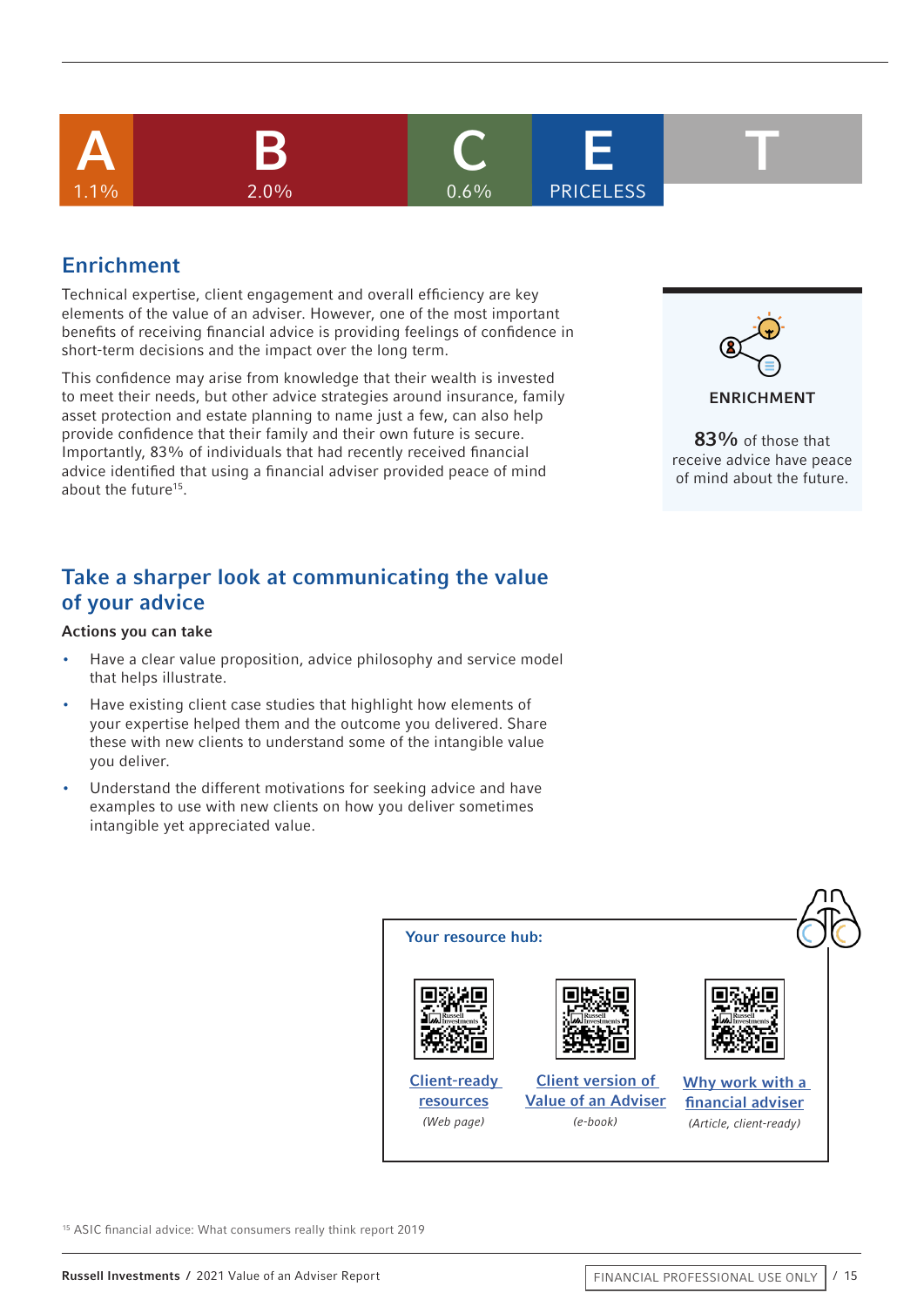

## Enrichment

Technical expertise, client engagement and overall efficiency are key elements of the value of an adviser. However, one of the most important benefits of receiving financial advice is providing feelings of confidence in short-term decisions and the impact over the long term.

This confidence may arise from knowledge that their wealth is invested to meet their needs, but other advice strategies around insurance, family asset protection and estate planning to name just a few, can also help provide confidence that their family and their own future is secure. Importantly, 83% of individuals that had recently received financial advice identified that using a financial adviser provided peace of mind about the future<sup>15</sup>.

## Take a sharper look at communicating the value of your advice

#### Actions you can take

- Have a clear value proposition, advice philosophy and service model that helps illustrate.
- Have existing client case studies that highlight how elements of your expertise helped them and the outcome you delivered. Share these with new clients to understand some of the intangible value you deliver.
- Understand the different motivations for seeking advice and have examples to use with new clients on how you deliver sometimes intangible yet appreciated value.



83% of those that receive advice have peace of mind about the future.



15 ASIC financial advice: What consumers really think report 2019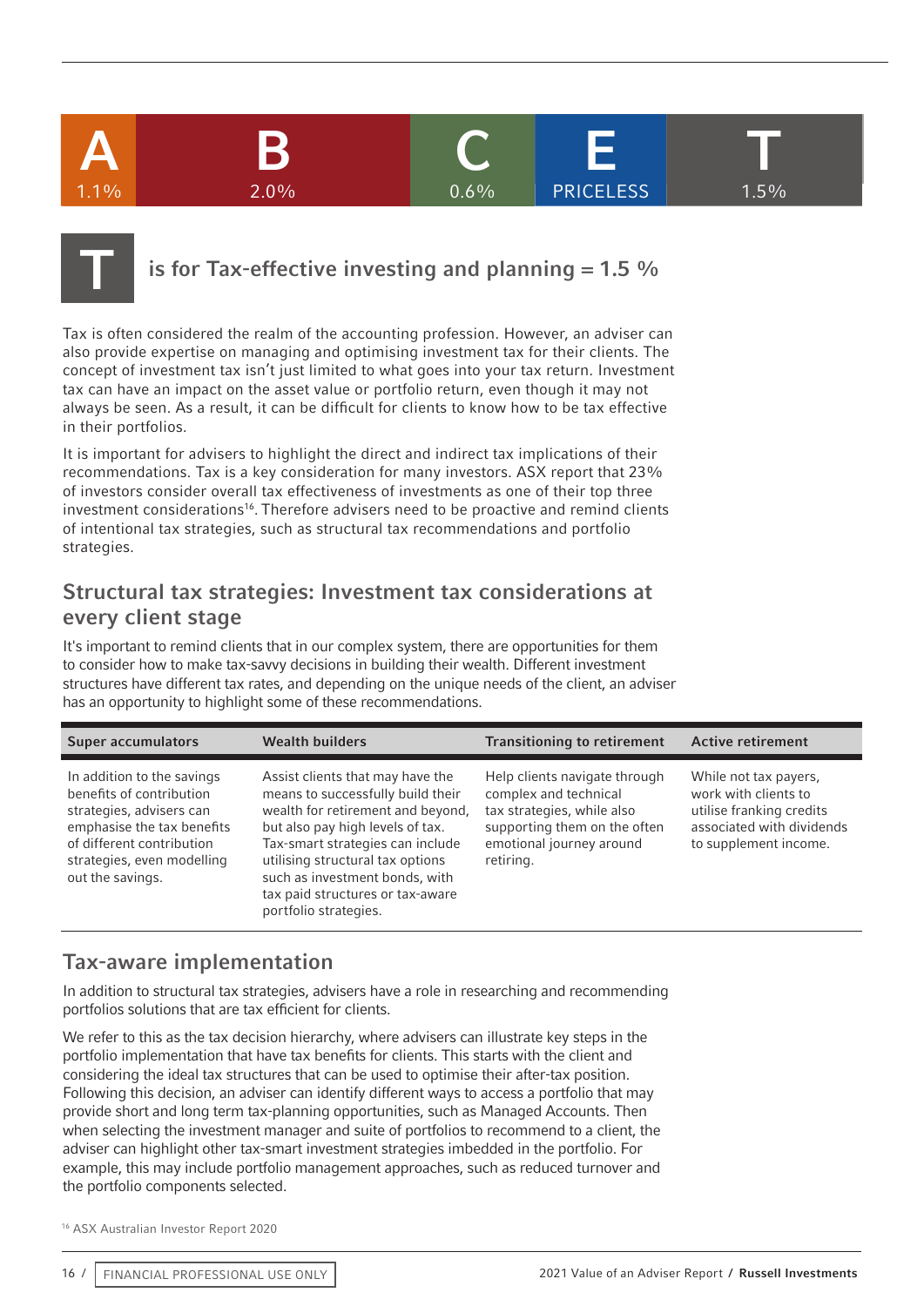## A B C E T  $1.1\%$  2.0% 0.6% A B C E T **PRICELESS**



## is for Tax-effective investing and planning  $= 1.5$  %

Tax is often considered the realm of the accounting profession. However, an adviser can also provide expertise on managing and optimising investment tax for their clients. The concept of investment tax isn't just limited to what goes into your tax return. Investment tax can have an impact on the asset value or portfolio return, even though it may not always be seen. As a result, it can be difficult for clients to know how to be tax effective in their portfolios.

It is important for advisers to highlight the direct and indirect tax implications of their recommendations. Tax is a key consideration for many investors. ASX report that 23% of investors consider overall tax effectiveness of investments as one of their top three investment considerations<sup>16</sup>. Therefore advisers need to be proactive and remind clients of intentional tax strategies, such as structural tax recommendations and portfolio strategies.

### Structural tax strategies: Investment tax considerations at every client stage

It's important to remind clients that in our complex system, there are opportunities for them to consider how to make tax-savvy decisions in building their wealth. Different investment structures have different tax rates, and depending on the unique needs of the client, an adviser has an opportunity to highlight some of these recommendations.

| <b>Super accumulators</b>                                                                                                                                                                       | <b>Wealth builders</b>                                                                                                                                                                                                                                                                                                | <b>Transitioning to retirement</b>                                                                                                                            | <b>Active retirement</b>                                                                                                        |
|-------------------------------------------------------------------------------------------------------------------------------------------------------------------------------------------------|-----------------------------------------------------------------------------------------------------------------------------------------------------------------------------------------------------------------------------------------------------------------------------------------------------------------------|---------------------------------------------------------------------------------------------------------------------------------------------------------------|---------------------------------------------------------------------------------------------------------------------------------|
| In addition to the savings<br>benefits of contribution<br>strategies, advisers can<br>emphasise the tax benefits<br>of different contribution<br>strategies, even modelling<br>out the savings. | Assist clients that may have the<br>means to successfully build their<br>wealth for retirement and beyond,<br>but also pay high levels of tax.<br>Tax-smart strategies can include<br>utilising structural tax options<br>such as investment bonds, with<br>tax paid structures or tax-aware<br>portfolio strategies. | Help clients navigate through<br>complex and technical<br>tax strategies, while also<br>supporting them on the often<br>emotional journey around<br>retiring. | While not tax payers,<br>work with clients to<br>utilise franking credits<br>associated with dividends<br>to supplement income. |

## Tax-aware implementation

In addition to structural tax strategies, advisers have a role in researching and recommending portfolios solutions that are tax efficient for clients.

We refer to this as the tax decision hierarchy, where advisers can illustrate key steps in the portfolio implementation that have tax benefits for clients. This starts with the client and considering the ideal tax structures that can be used to optimise their after-tax position. Following this decision, an adviser can identify different ways to access a portfolio that may provide short and long term tax-planning opportunities, such as Managed Accounts. Then when selecting the investment manager and suite of portfolios to recommend to a client, the adviser can highlight other tax-smart investment strategies imbedded in the portfolio. For example, this may include portfolio management approaches, such as reduced turnover and the portfolio components selected.

16 ASX Australian Investor Report 2020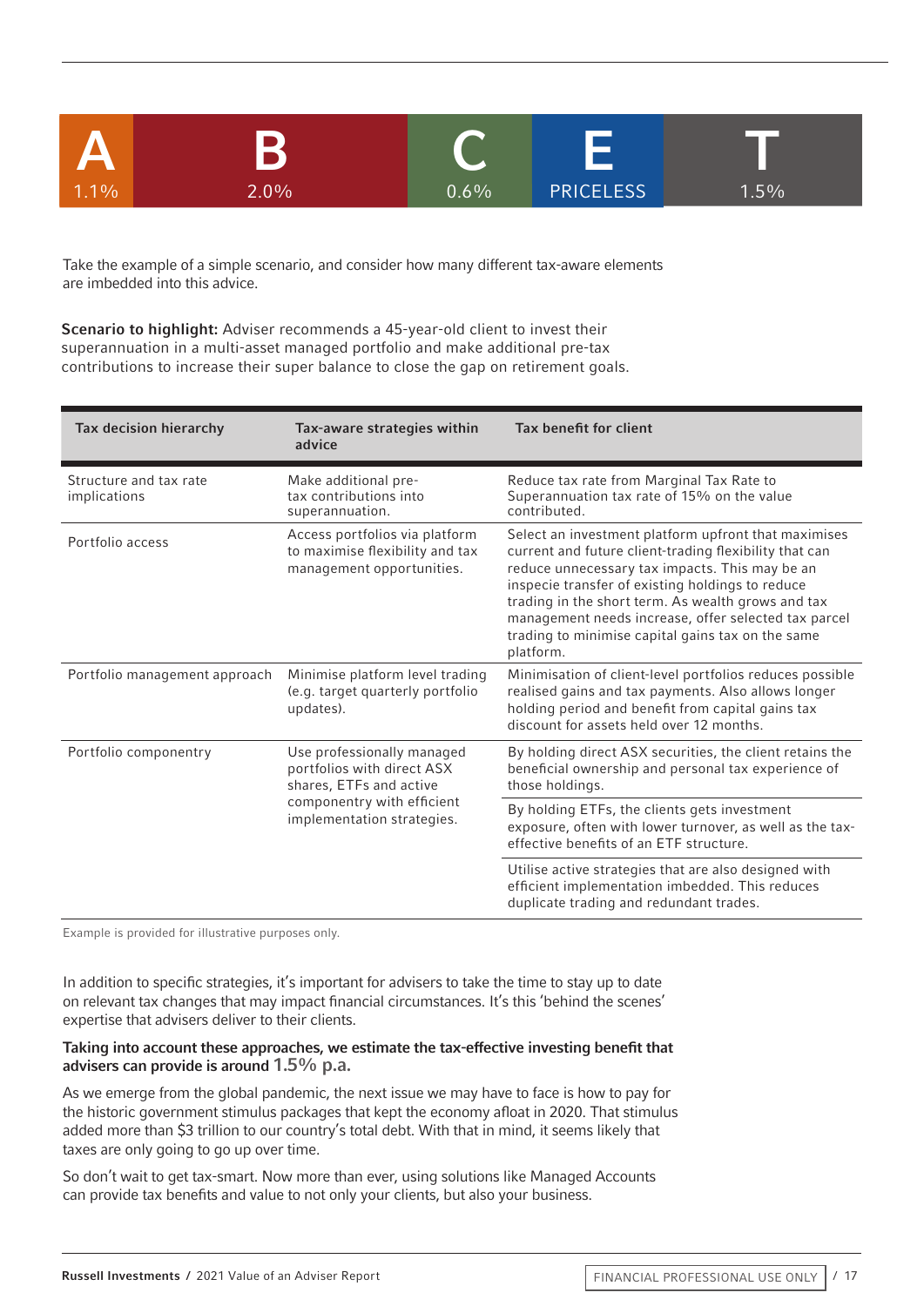

Take the example of a simple scenario, and consider how many different tax-aware elements are imbedded into this advice.

Scenario to highlight: Adviser recommends a 45-year-old client to invest their superannuation in a multi-asset managed portfolio and make additional pre-tax contributions to increase their super balance to close the gap on retirement goals.

| Tax decision hierarchy                                                                                       | Tax-aware strategies within<br>advice                                                          | Tax benefit for client                                                                                                                                                                                                                                                                                                                                                                               |
|--------------------------------------------------------------------------------------------------------------|------------------------------------------------------------------------------------------------|------------------------------------------------------------------------------------------------------------------------------------------------------------------------------------------------------------------------------------------------------------------------------------------------------------------------------------------------------------------------------------------------------|
| Structure and tax rate<br>implications                                                                       | Make additional pre-<br>tax contributions into<br>superannuation.                              | Reduce tax rate from Marginal Tax Rate to<br>Superannuation tax rate of 15% on the value<br>contributed.                                                                                                                                                                                                                                                                                             |
| Portfolio access                                                                                             | Access portfolios via platform<br>to maximise flexibility and tax<br>management opportunities. | Select an investment platform upfront that maximises<br>current and future client-trading flexibility that can<br>reduce unnecessary tax impacts. This may be an<br>inspecie transfer of existing holdings to reduce<br>trading in the short term. As wealth grows and tax<br>management needs increase, offer selected tax parcel<br>trading to minimise capital gains tax on the same<br>platform. |
| Portfolio management approach                                                                                | Minimise platform level trading<br>(e.g. target quarterly portfolio<br>updates).               | Minimisation of client-level portfolios reduces possible<br>realised gains and tax payments. Also allows longer<br>holding period and benefit from capital gains tax<br>discount for assets held over 12 months.                                                                                                                                                                                     |
| Portfolio componentry<br>Use professionally managed<br>portfolios with direct ASX<br>shares, ETFs and active |                                                                                                | By holding direct ASX securities, the client retains the<br>beneficial ownership and personal tax experience of<br>those holdings.                                                                                                                                                                                                                                                                   |
|                                                                                                              | componentry with efficient<br>implementation strategies.                                       | By holding ETFs, the clients gets investment<br>exposure, often with lower turnover, as well as the tax-<br>effective benefits of an ETF structure.                                                                                                                                                                                                                                                  |
|                                                                                                              |                                                                                                | Utilise active strategies that are also designed with<br>efficient implementation imbedded. This reduces<br>duplicate trading and redundant trades.                                                                                                                                                                                                                                                  |

Example is provided for illustrative purposes only.

In addition to specific strategies, it's important for advisers to take the time to stay up to date on relevant tax changes that may impact financial circumstances. It's this 'behind the scenes' expertise that advisers deliver to their clients.

#### Taking into account these approaches, we estimate the tax-effective investing benefit that advisers can provide is around 1.5% p.a.

As we emerge from the global pandemic, the next issue we may have to face is how to pay for the historic government stimulus packages that kept the economy afloat in 2020. That stimulus added more than \$3 trillion to our country's total debt. With that in mind, it seems likely that taxes are only going to go up over time.

So don't wait to get tax-smart. Now more than ever, using solutions like Managed Accounts can provide tax benefits and value to not only your clients, but also your business.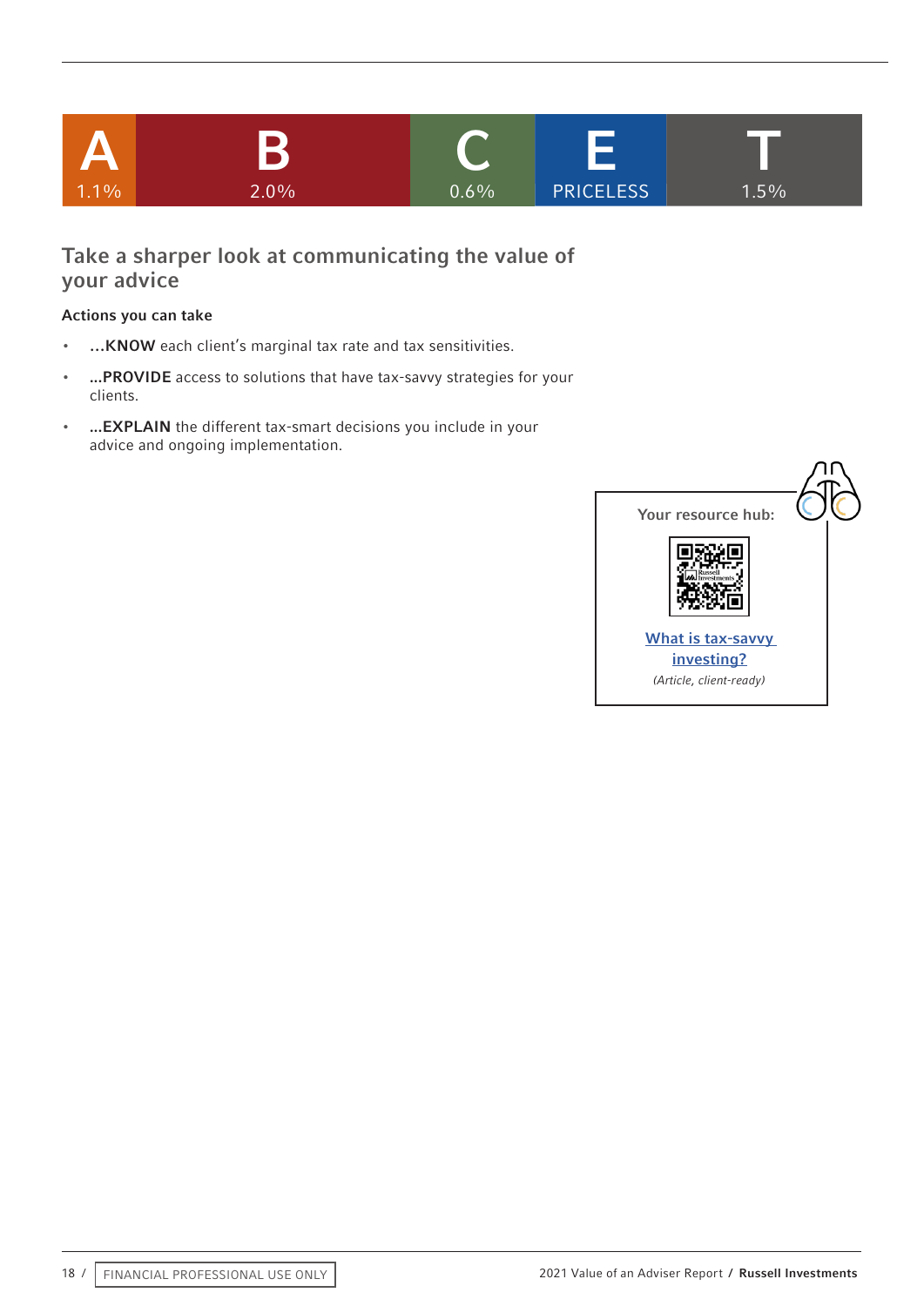

## Take a sharper look at communicating the value of your advice

- …KNOW each client's marginal tax rate and tax sensitivities.
- ...PROVIDE access to solutions that have tax-savvy strategies for your clients.
- ...EXPLAIN the different tax-smart decisions you include in your advice and ongoing implementation.

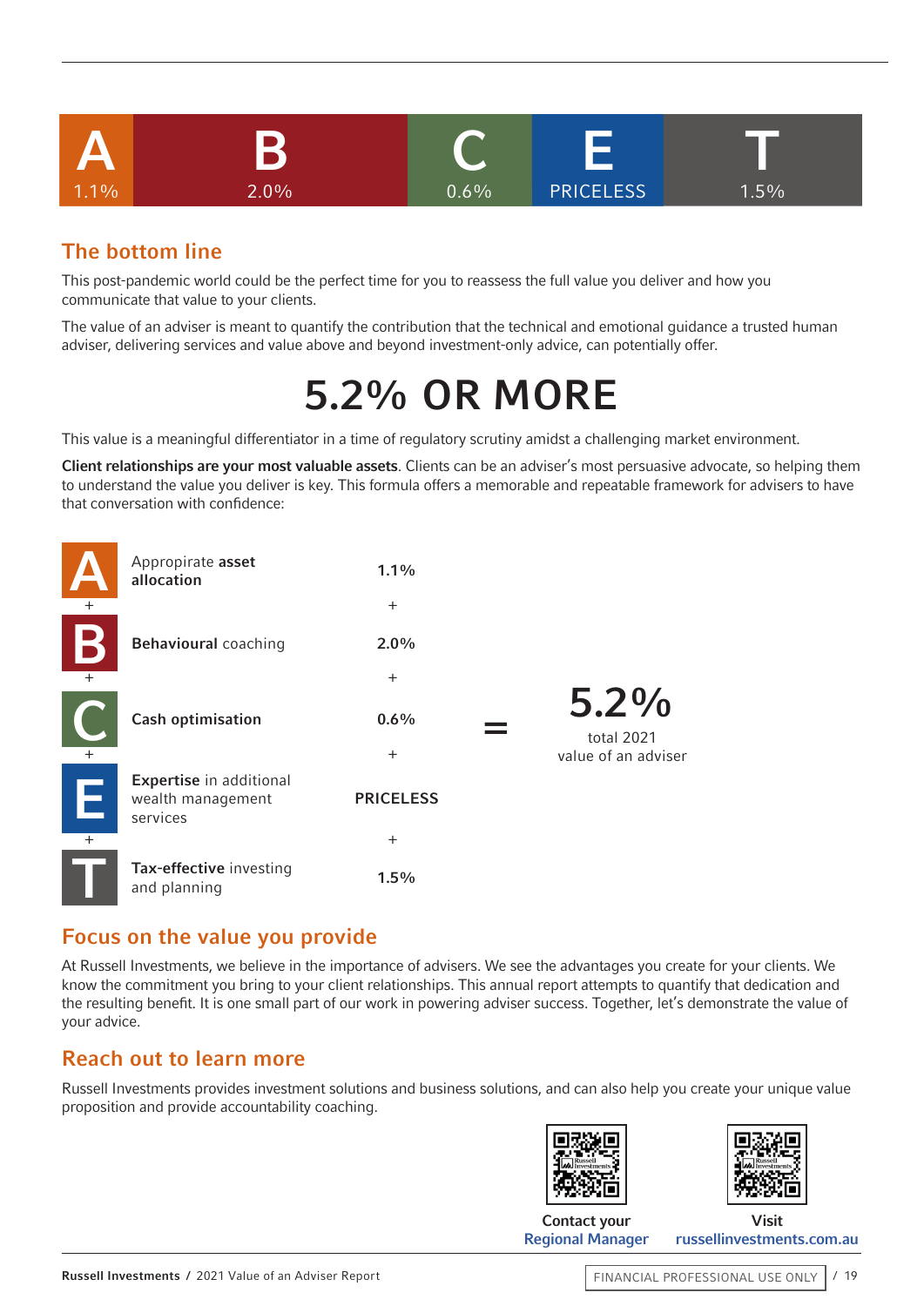

## The bottom line

This post-pandemic world could be the perfect time for you to reassess the full value you deliver and how you communicate that value to your clients.

The value of an adviser is meant to quantify the contribution that the technical and emotional guidance a trusted human adviser, delivering services and value above and beyond investment-only advice, can potentially offer.

## 5.2% OR MORE

This value is a meaningful differentiator in a time of regulatory scrutiny amidst a challenging market environment.

Client relationships are your most valuable assets. Clients can be an adviser's most persuasive advocate, so helping them to understand the value you deliver is key. This formula offers a memorable and repeatable framework for advisers to have that conversation with confidence:

|               | Appropirate asset<br>allocation                          | $1.1\%$          |                       |
|---------------|----------------------------------------------------------|------------------|-----------------------|
| $+$           |                                                          | $+$              |                       |
|               | <b>Behavioural coaching</b>                              | $2.0\%$          |                       |
| $+$           |                                                          | $+$              |                       |
|               | <b>Cash optimisation</b>                                 | 0.6%             | $5.2\%$<br>total 2021 |
| $+$           |                                                          | $+$              | value of an adviser   |
| $\frac{1}{2}$ | Expertise in additional<br>wealth management<br>services | <b>PRICELESS</b> |                       |
| $\ddot{}$     |                                                          | $+$              |                       |
|               | Tax-effective investing<br>and planning                  | 1.5%             |                       |

## Focus on the value you provide

At Russell Investments, we believe in the importance of advisers. We see the advantages you create for your clients. We know the commitment you bring to your client relationships. This annual report attempts to quantify that dedication and the resulting benefit. It is one small part of our work in powering adviser success. Together, let's demonstrate the value of your advice.

## Reach out to learn more

Russell Investments provides investment solutions and business solutions, and can also help you create your unique value proposition and provide accountability coaching.





Contact your [Regional Manager](https://russellinvestments.com/au/support/financial-adviser/business-solutions/meet-the-team)

Visit [russellinvestments.com.au](https://russellinvestments.com/au)